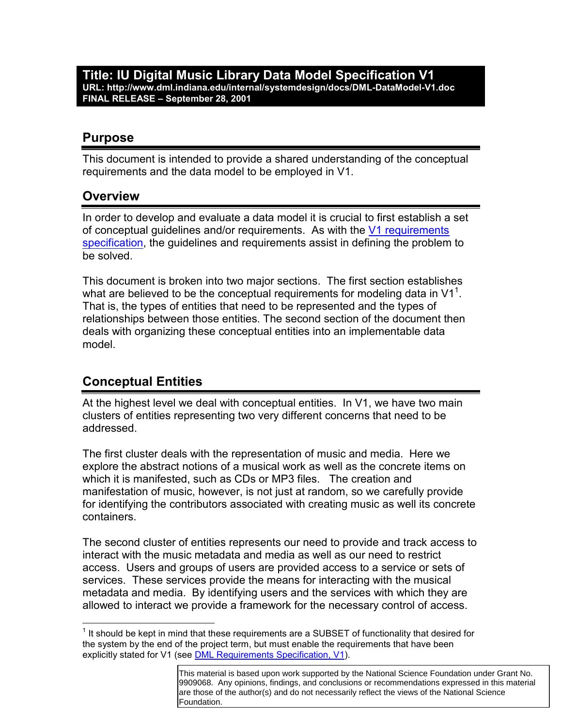**Title: IU Digital Music Library Data Model Specification V1 URL: http://www.dml.indiana.edu/internal/systemdesign/docs/DML-DataModel-V1.doc FINAL RELEASE – September 28, 2001** 

#### **Purpose**

This document is intended to provide a shared understanding of the conceptual requirements and the data model to be employed in V1.

#### **Overview**

In order to develop and evaluate a data model it is crucial to first establish a set of conceptual guidelines and/or requirements. As with the V1 requirements specification, the guidelines and requirements assist in defining the problem to be solved.

This document is broken into two major sections. The first section establishes what are believed to be the conceptual requirements for modeling data in V1<sup>1</sup>. That is, the types of entities that need to be represented and the types of relationships between those entities. The second section of the document then deals with organizing these conceptual entities into an implementable data model.

#### **Conceptual Entities**

 $\overline{a}$ 

At the highest level we deal with conceptual entities. In V1, we have two main clusters of entities representing two very different concerns that need to be addressed.

The first cluster deals with the representation of music and media. Here we explore the abstract notions of a musical work as well as the concrete items on which it is manifested, such as CDs or MP3 files. The creation and manifestation of music, however, is not just at random, so we carefully provide for identifying the contributors associated with creating music as well its concrete containers.

The second cluster of entities represents our need to provide and track access to interact with the music metadata and media as well as our need to restrict access. Users and groups of users are provided access to a service or sets of services. These services provide the means for interacting with the musical metadata and media. By identifying users and the services with which they are allowed to interact we provide a framework for the necessary control of access.

 $1$  It should be kept in mind that these requirements are a SUBSET of functionality that desired for the system by the end of the project term, but must enable the requirements that have been explicitly stated for V1 (see **DML Requirements Specification, V1)**.

This material is based upon work supported by the National Science Foundation under Grant No. 9909068. Any opinions, findings, and conclusions or recommendations expressed in this material are those of the author(s) and do not necessarily reflect the views of the National Science Foundation.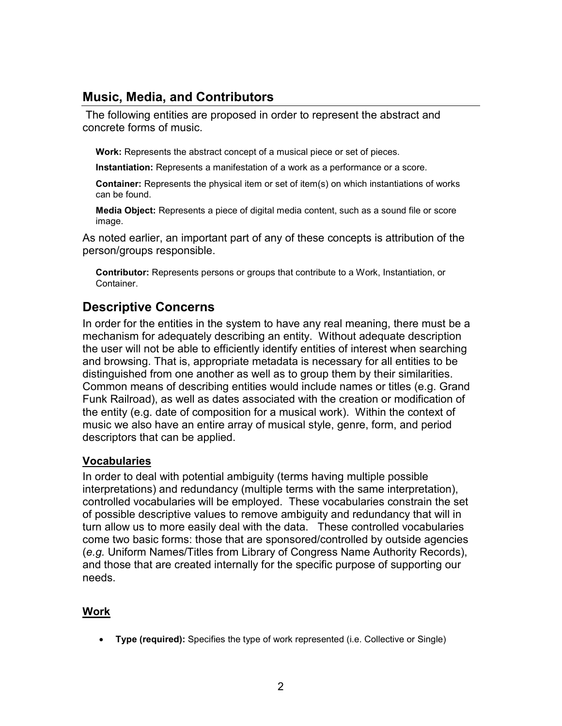### **Music, Media, and Contributors**

 The following entities are proposed in order to represent the abstract and concrete forms of music.

**Work:** Represents the abstract concept of a musical piece or set of pieces.

**Instantiation:** Represents a manifestation of a work as a performance or a score.

**Container:** Represents the physical item or set of item(s) on which instantiations of works can be found.

**Media Object:** Represents a piece of digital media content, such as a sound file or score image.

As noted earlier, an important part of any of these concepts is attribution of the person/groups responsible.

**Contributor:** Represents persons or groups that contribute to a Work, Instantiation, or Container.

### **Descriptive Concerns**

In order for the entities in the system to have any real meaning, there must be a mechanism for adequately describing an entity. Without adequate description the user will not be able to efficiently identify entities of interest when searching and browsing. That is, appropriate metadata is necessary for all entities to be distinguished from one another as well as to group them by their similarities. Common means of describing entities would include names or titles (e.g. Grand Funk Railroad), as well as dates associated with the creation or modification of the entity (e.g. date of composition for a musical work). Within the context of music we also have an entire array of musical style, genre, form, and period descriptors that can be applied.

#### **Vocabularies**

In order to deal with potential ambiguity (terms having multiple possible interpretations) and redundancy (multiple terms with the same interpretation), controlled vocabularies will be employed. These vocabularies constrain the set of possible descriptive values to remove ambiguity and redundancy that will in turn allow us to more easily deal with the data. These controlled vocabularies come two basic forms: those that are sponsored/controlled by outside agencies (*e.g.* Uniform Names/Titles from Library of Congress Name Authority Records), and those that are created internally for the specific purpose of supporting our needs.

#### **Work**

- **Type (required):** Specifies the type of work represented (i.e. Collective or Single)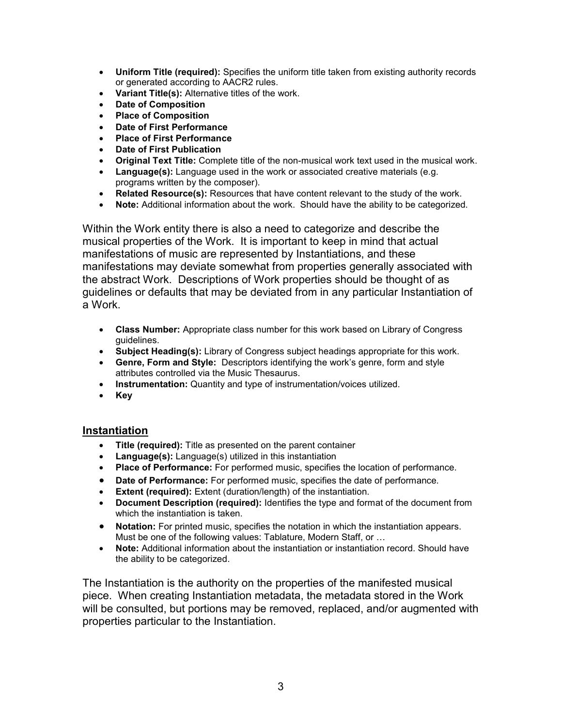- **Uniform Title (required):** Specifies the uniform title taken from existing authority records or generated according to AACR2 rules.
- **Variant Title(s):** Alternative titles of the work.
- **Date of Composition**
- **Place of Composition**
- **Date of First Performance**
- **Place of First Performance**
- **Date of First Publication**
- **Original Text Title:** Complete title of the non-musical work text used in the musical work.
- Language(s): Language used in the work or associated creative materials (e.g. programs written by the composer).
- **Related Resource(s):** Resources that have content relevant to the study of the work.
- **Note:** Additional information about the work. Should have the ability to be categorized.

Within the Work entity there is also a need to categorize and describe the musical properties of the Work. It is important to keep in mind that actual manifestations of music are represented by Instantiations, and these manifestations may deviate somewhat from properties generally associated with the abstract Work. Descriptions of Work properties should be thought of as guidelines or defaults that may be deviated from in any particular Instantiation of a Work.

- **Class Number:** Appropriate class number for this work based on Library of Congress guidelines.
- **Subject Heading(s):** Library of Congress subject headings appropriate for this work.
- **Genre, Form and Style:** Descriptors identifying the work's genre, form and style attributes controlled via the Music Thesaurus.
- **Instrumentation:** Quantity and type of instrumentation/voices utilized.
- **Key**

#### **Instantiation**

- **Title (required):** Title as presented on the parent container
- **Language(s):** Language(s) utilized in this instantiation
- **Place of Performance:** For performed music, specifies the location of performance.
- **Date of Performance:** For performed music, specifies the date of performance.
- **Extent (required):** Extent (duration/length) of the instantiation.
- **Document Description (required):** Identifies the type and format of the document from which the instantiation is taken.
- **Notation:** For printed music, specifies the notation in which the instantiation appears. Must be one of the following values: Tablature, Modern Staff, or …
- **Note:** Additional information about the instantiation or instantiation record. Should have the ability to be categorized.

The Instantiation is the authority on the properties of the manifested musical piece. When creating Instantiation metadata, the metadata stored in the Work will be consulted, but portions may be removed, replaced, and/or augmented with properties particular to the Instantiation.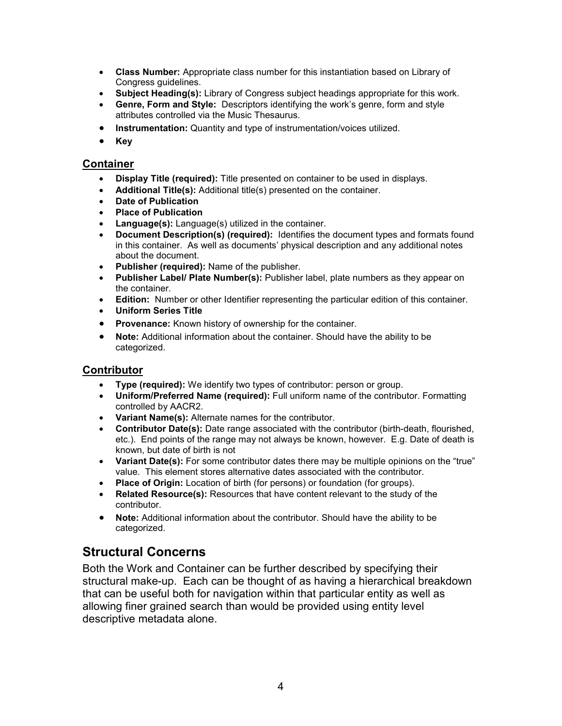- **Class Number:** Appropriate class number for this instantiation based on Library of Congress guidelines.
- **Subject Heading(s):** Library of Congress subject headings appropriate for this work.
- **Genre, Form and Style:** Descriptors identifying the work's genre, form and style attributes controlled via the Music Thesaurus.
- **Instrumentation:** Quantity and type of instrumentation/voices utilized.
- $\bullet$ **Key**

#### **Container**

- -**Display Title (required):** Title presented on container to be used in displays.
- **Additional Title(s):** Additional title(s) presented on the container.
- **Date of Publication**
- **Place of Publication**
- **Language(s):** Language(s) utilized in the container.
- - **Document Description(s) (required):** Identifies the document types and formats found in this container. As well as documents' physical description and any additional notes about the document.
- **Publisher (required):** Name of the publisher.
- **Publisher Label/ Plate Number(s):** Publisher label, plate numbers as they appear on the container.
- **Edition:** Number or other Identifier representing the particular edition of this container.
- **Uniform Series Title**
- **Provenance:** Known history of ownership for the container.
- $\bullet$  **Note:** Additional information about the container. Should have the ability to be categorized.

#### **Contributor**

- $\bullet$ **Type (required):** We identify two types of contributor: person or group.
- **Uniform/Preferred Name (required):** Full uniform name of the contributor. Formatting controlled by AACR2.
- **Variant Name(s):** Alternate names for the contributor.
- **Contributor Date(s):** Date range associated with the contributor (birth-death, flourished, etc.). End points of the range may not always be known, however. E.g. Date of death is known, but date of birth is not
- Variant Date(s): For some contributor dates there may be multiple opinions on the "true" value. This element stores alternative dates associated with the contributor.
- **Place of Origin:** Location of birth (for persons) or foundation (for groups).
- **Related Resource(s):** Resources that have content relevant to the study of the contributor.
- $\bullet$  **Note:** Additional information about the contributor. Should have the ability to be categorized.

### **Structural Concerns**

Both the Work and Container can be further described by specifying their structural make-up. Each can be thought of as having a hierarchical breakdown that can be useful both for navigation within that particular entity as well as allowing finer grained search than would be provided using entity level descriptive metadata alone.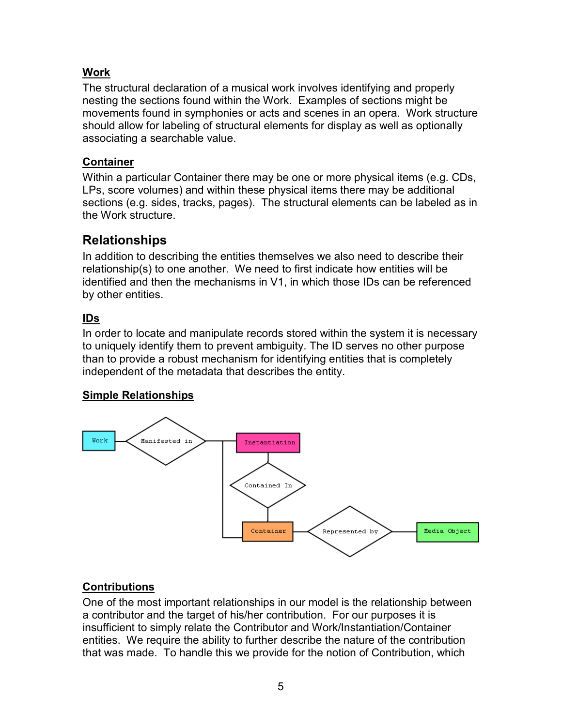#### **Work**

The structural declaration of a musical work involves identifying and properly nesting the sections found within the Work. Examples of sections might be movements found in symphonies or acts and scenes in an opera. Work structure should allow for labeling of structural elements for display as well as optionally associating a searchable value.

#### **Container**

Within a particular Container there may be one or more physical items (e.g. CDs, LPs, score volumes) and within these physical items there may be additional sections (e.g. sides, tracks, pages). The structural elements can be labeled as in the Work structure.

## **Relationships**

In addition to describing the entities themselves we also need to describe their relationship(s) to one another. We need to first indicate how entities will be identified and then the mechanisms in V1, in which those IDs can be referenced by other entities.

### **IDs**

In order to locate and manipulate records stored within the system it is necessary to uniquely identify them to prevent ambiguity. The ID serves no other purpose than to provide a robust mechanism for identifying entities that is completely independent of the metadata that describes the entity.

#### **Simple Relationships**



### **Contributions**

One of the most important relationships in our model is the relationship between a contributor and the target of his/her contribution. For our purposes it is insufficient to simply relate the Contributor and Work/Instantiation/Container entities. We require the ability to further describe the nature of the contribution that was made. To handle this we provide for the notion of Contribution, which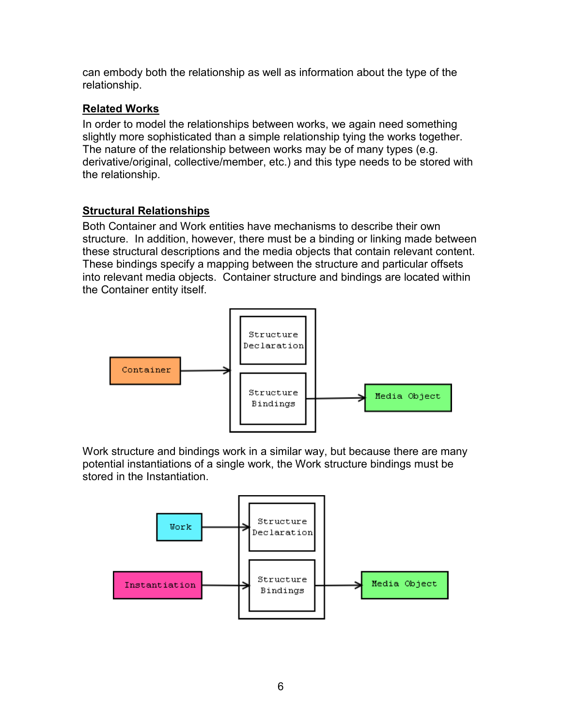can embody both the relationship as well as information about the type of the relationship.

#### **Related Works**

In order to model the relationships between works, we again need something slightly more sophisticated than a simple relationship tying the works together. The nature of the relationship between works may be of many types (e.g. derivative/original, collective/member, etc.) and this type needs to be stored with the relationship.

#### **Structural Relationships**

Both Container and Work entities have mechanisms to describe their own structure. In addition, however, there must be a binding or linking made between these structural descriptions and the media objects that contain relevant content. These bindings specify a mapping between the structure and particular offsets into relevant media objects. Container structure and bindings are located within the Container entity itself.



Work structure and bindings work in a similar way, but because there are many potential instantiations of a single work, the Work structure bindings must be stored in the Instantiation.

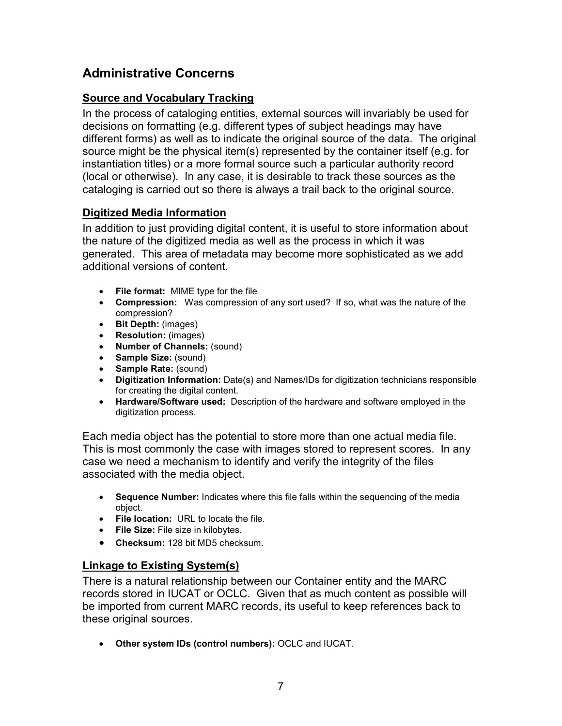## **Administrative Concerns**

#### **Source and Vocabulary Tracking**

In the process of cataloging entities, external sources will invariably be used for decisions on formatting (e.g. different types of subject headings may have different forms) as well as to indicate the original source of the data. The original source might be the physical item(s) represented by the container itself (e.g. for instantiation titles) or a more formal source such a particular authority record (local or otherwise). In any case, it is desirable to track these sources as the cataloging is carried out so there is always a trail back to the original source.

#### **Digitized Media Information**

In addition to just providing digital content, it is useful to store information about the nature of the digitized media as well as the process in which it was generated. This area of metadata may become more sophisticated as we add additional versions of content.

- **File format:** MIME type for the file
- **Compression:** Was compression of any sort used? If so, what was the nature of the compression?
- **Bit Depth:** (images)
- **Resolution:** (images)
- **Number of Channels:** (sound)
- **Sample Size:** (sound)
- **Sample Rate:** (sound)
- **Digitization Information:** Date(s) and Names/IDs for digitization technicians responsible for creating the digital content.
- **Hardware/Software used:** Description of the hardware and software employed in the digitization process.

Each media object has the potential to store more than one actual media file. This is most commonly the case with images stored to represent scores. In any case we need a mechanism to identify and verify the integrity of the files associated with the media object.

- **Sequence Number:** Indicates where this file falls within the sequencing of the media object.
- **File location:** URL to locate the file.
- **File Size:** File size in kilobytes.
- **Checksum:** 128 bit MD5 checksum.

#### **Linkage to Existing System(s)**

There is a natural relationship between our Container entity and the MARC records stored in IUCAT or OCLC. Given that as much content as possible will be imported from current MARC records, its useful to keep references back to these original sources.

- **Other system IDs (control numbers):** OCLC and IUCAT.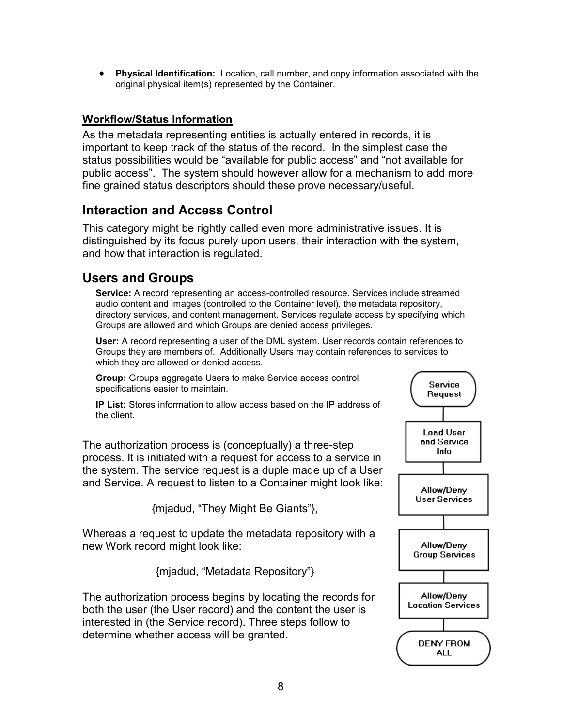- **Physical Identification:** Location, call number, and copy information associated with the original physical item(s) represented by the Container.

#### **Workflow/Status Information**

As the metadata representing entities is actually entered in records, it is important to keep track of the status of the record. In the simplest case the status possibilities would be "available for public access" and "not available for public access". The system should however allow for a mechanism to add more fine grained status descriptors should these prove necessary/useful.

#### **Interaction and Access Control**

This category might be rightly called even more administrative issues. It is distinguished by its focus purely upon users, their interaction with the system, and how that interaction is regulated.

#### **Users and Groups**

**Service:** A record representing an access-controlled resource. Services include streamed audio content and images (controlled to the Container level), the metadata repository, directory services, and content management. Services regulate access by specifying which Groups are allowed and which Groups are denied access privileges.

**User:** A record representing a user of the DML system. User records contain references to Groups they are members of. Additionally Users may contain references to services to which they are allowed or denied access.

**Group:** Groups aggregate Users to make Service access control specifications easier to maintain.

**IP List:** Stores information to allow access based on the IP address of the client.

The authorization process is (conceptually) a three-step process. It is initiated with a request for access to a service in the system. The service request is a duple made up of a User and Service. A request to listen to a Container might look like:

{mjadud, "They Might Be Giants"},

Whereas a request to update the metadata repository with a new Work record might look like:

{mjadud, "Metadata Repository"}

The authorization process begins by locating the records for both the user (the User record) and the content the user is interested in (the Service record). Three steps follow to determine whether access will be granted.

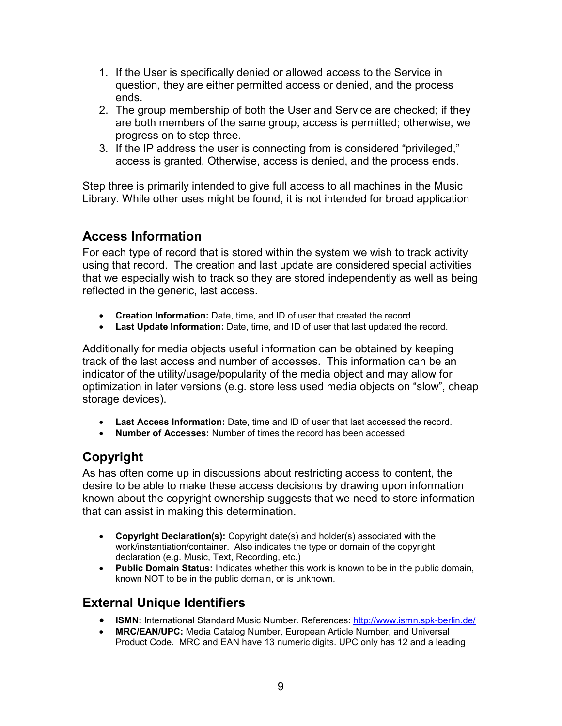- 1. If the User is specifically denied or allowed access to the Service in question, they are either permitted access or denied, and the process ends.
- 2. The group membership of both the User and Service are checked; if they are both members of the same group, access is permitted; otherwise, we progress on to step three.
- 3. If the IP address the user is connecting from is considered "privileged," access is granted. Otherwise, access is denied, and the process ends.

Step three is primarily intended to give full access to all machines in the Music Library. While other uses might be found, it is not intended for broad application

## **Access Information**

For each type of record that is stored within the system we wish to track activity using that record. The creation and last update are considered special activities that we especially wish to track so they are stored independently as well as being reflected in the generic, last access.

- **Creation Information:** Date, time, and ID of user that created the record.
- **Last Update Information:** Date, time, and ID of user that last updated the record.

Additionally for media objects useful information can be obtained by keeping track of the last access and number of accesses. This information can be an indicator of the utility/usage/popularity of the media object and may allow for optimization in later versions (e.g. store less used media objects on "slow", cheap storage devices).

- **Last Access Information:** Date, time and ID of user that last accessed the record.
- **Number of Accesses:** Number of times the record has been accessed.

## **Copyright**

As has often come up in discussions about restricting access to content, the desire to be able to make these access decisions by drawing upon information known about the copyright ownership suggests that we need to store information that can assist in making this determination.

- **Copyright Declaration(s):** Copyright date(s) and holder(s) associated with the work/instantiation/container. Also indicates the type or domain of the copyright declaration (e.g. Music, Text, Recording, etc.)
- **Public Domain Status:** Indicates whether this work is known to be in the public domain, known NOT to be in the public domain, or is unknown.

## **External Unique Identifiers**

- **ISMN:** International Standard Music Number. References: http://www.ismn.spk-berlin.de/
- - **MRC/EAN/UPC:** Media Catalog Number, European Article Number, and Universal Product Code. MRC and EAN have 13 numeric digits. UPC only has 12 and a leading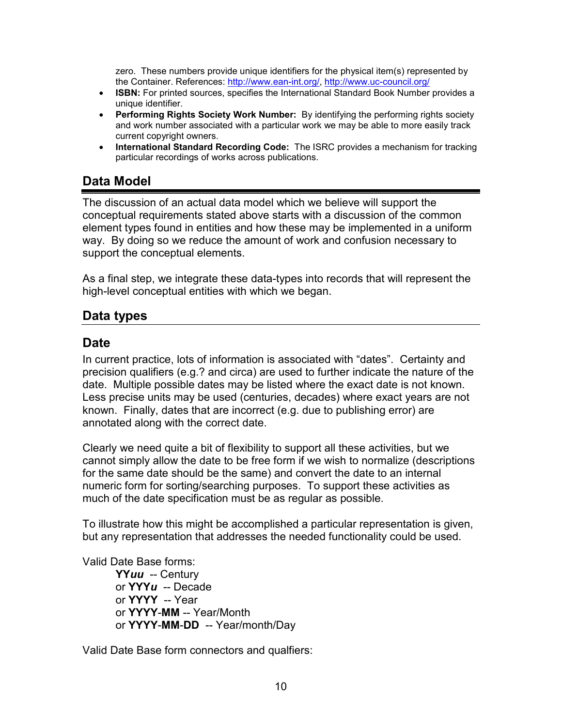zero. These numbers provide unique identifiers for the physical item(s) represented by the Container. References: http://www.ean-int.org/, http://www.uc-council.org/

- **ISBN:** For printed sources, specifies the International Standard Book Number provides a unique identifier.
- **Performing Rights Society Work Number:** By identifying the performing rights society and work number associated with a particular work we may be able to more easily track current copyright owners.
- **International Standard Recording Code:** The ISRC provides a mechanism for tracking particular recordings of works across publications.

### **Data Model**

The discussion of an actual data model which we believe will support the conceptual requirements stated above starts with a discussion of the common element types found in entities and how these may be implemented in a uniform way. By doing so we reduce the amount of work and confusion necessary to support the conceptual elements.

As a final step, we integrate these data-types into records that will represent the high-level conceptual entities with which we began.

#### **Data types**

#### **Date**

In current practice, lots of information is associated with "dates". Certainty and precision qualifiers (e.g.? and circa) are used to further indicate the nature of the date. Multiple possible dates may be listed where the exact date is not known. Less precise units may be used (centuries, decades) where exact years are not known. Finally, dates that are incorrect (e.g. due to publishing error) are annotated along with the correct date.

Clearly we need quite a bit of flexibility to support all these activities, but we cannot simply allow the date to be free form if we wish to normalize (descriptions for the same date should be the same) and convert the date to an internal numeric form for sorting/searching purposes. To support these activities as much of the date specification must be as regular as possible.

To illustrate how this might be accomplished a particular representation is given, but any representation that addresses the needed functionality could be used.

Valid Date Base forms:

 **YY***uu* -- Century or **YYY***u* -- Decade or **YYYY** -- Year or **YYYY**-**MM** -- Year/Month or **YYYY**-**MM**-**DD** -- Year/month/Day

Valid Date Base form connectors and qualfiers: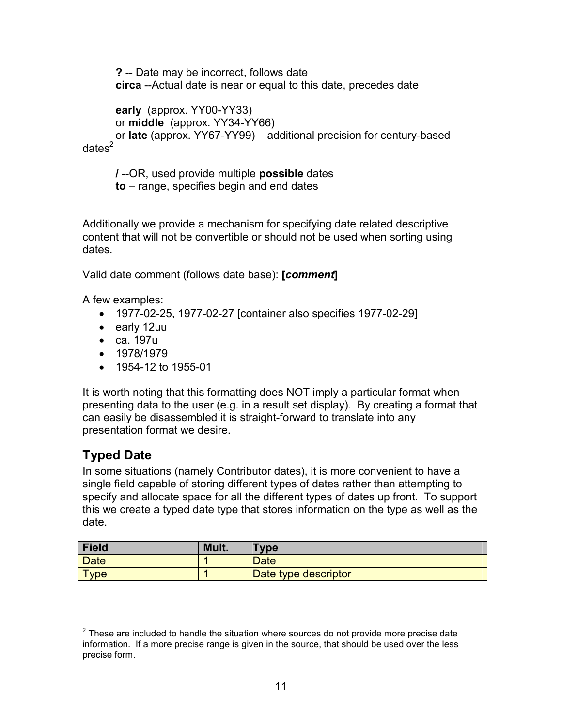**?** -- Date may be incorrect, follows date **circa** --Actual date is near or equal to this date, precedes date

**early** (approx. YY00-YY33) or **middle** (approx. YY34-YY66) or **late** (approx. YY67-YY99) – additional precision for century-based  $dates<sup>2</sup>$ 

**/** --OR, used provide multiple **possible** dates

**to** – range, specifies begin and end dates

Additionally we provide a mechanism for specifying date related descriptive content that will not be convertible or should not be used when sorting using dates.

Valid date comment (follows date base): **[***comment***]**

A few examples:

- 1977-02-25, 1977-02-27 [container also specifies 1977-02-29]
- early 12uu
- ca. 197u
- 1978/1979
- 1954-12 to 1955-01

It is worth noting that this formatting does NOT imply a particular format when presenting data to the user (e.g. in a result set display). By creating a format that can easily be disassembled it is straight-forward to translate into any presentation format we desire.

## **Typed Date**

In some situations (namely Contributor dates), it is more convenient to have a single field capable of storing different types of dates rather than attempting to specify and allocate space for all the different types of dates up front. To support this we create a typed date type that stores information on the type as well as the date.

| Field       | Mult. | <b>Type</b>          |
|-------------|-------|----------------------|
| Date        |       | <b>Date</b>          |
| <b>Type</b> |       | Date type descriptor |

 $\overline{a}$  $2$  These are included to handle the situation where sources do not provide more precise date information. If a more precise range is given in the source, that should be used over the less precise form.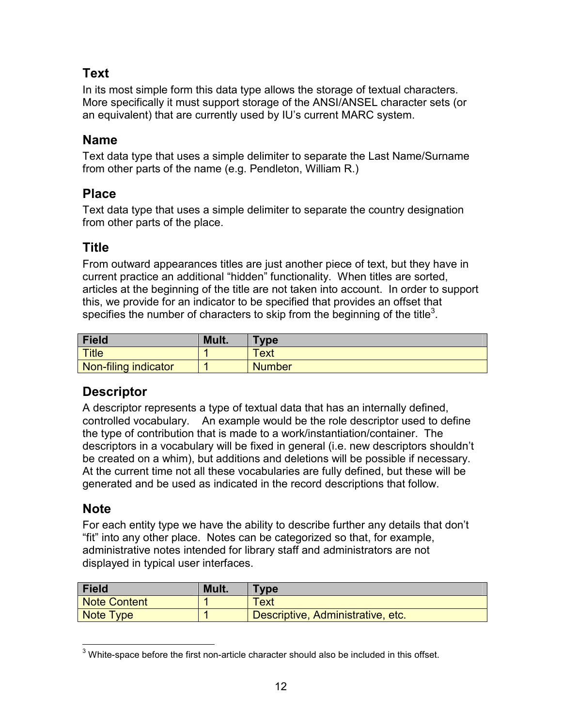### **Text**

In its most simple form this data type allows the storage of textual characters. More specifically it must support storage of the ANSI/ANSEL character sets (or an equivalent) that are currently used by IU's current MARC system.

### **Name**

Text data type that uses a simple delimiter to separate the Last Name/Surname from other parts of the name (e.g. Pendleton, William R.)

### **Place**

Text data type that uses a simple delimiter to separate the country designation from other parts of the place.

### **Title**

From outward appearances titles are just another piece of text, but they have in current practice an additional "hidden" functionality. When titles are sorted, articles at the beginning of the title are not taken into account. In order to support this, we provide for an indicator to be specified that provides an offset that specifies the number of characters to skip from the beginning of the title<sup>3</sup>.

| <b>Field</b>         | Mult. | <b>Type</b>   |
|----------------------|-------|---------------|
| Title                |       | Text          |
| Non-filing indicator |       | <b>Number</b> |

### **Descriptor**

A descriptor represents a type of textual data that has an internally defined, controlled vocabulary. An example would be the role descriptor used to define the type of contribution that is made to a work/instantiation/container. The descriptors in a vocabulary will be fixed in general (i.e. new descriptors shouldn't be created on a whim), but additions and deletions will be possible if necessary. At the current time not all these vocabularies are fully defined, but these will be generated and be used as indicated in the record descriptions that follow.

### **Note**

For each entity type we have the ability to describe further any details that don't "fit" into any other place. Notes can be categorized so that, for example, administrative notes intended for library staff and administrators are not displayed in typical user interfaces.

| Field        | Mult. | Type                              |
|--------------|-------|-----------------------------------|
| Note Content |       | Text                              |
| Note Type    |       | Descriptive, Administrative, etc. |

 3 White-space before the first non-article character should also be included in this offset.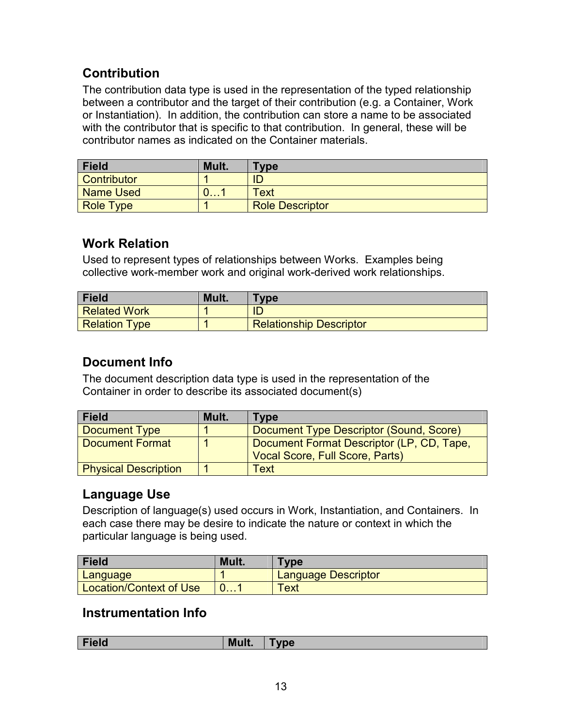## **Contribution**

The contribution data type is used in the representation of the typed relationship between a contributor and the target of their contribution (e.g. a Container, Work or Instantiation). In addition, the contribution can store a name to be associated with the contributor that is specific to that contribution. In general, these will be contributor names as indicated on the Container materials.

| <b>Field</b>       | Mult. | <b>Type</b>            |
|--------------------|-------|------------------------|
| <b>Contributor</b> |       | ID                     |
| Name Used          |       | Text                   |
| <b>Role Type</b>   |       | <b>Role Descriptor</b> |

### **Work Relation**

Used to represent types of relationships between Works. Examples being collective work-member work and original work-derived work relationships.

| <b>Field</b>         | Mult. | <b>Type</b>                    |
|----------------------|-------|--------------------------------|
| <b>Related Work</b>  |       | ID                             |
| <b>Relation Type</b> |       | <b>Relationship Descriptor</b> |

## **Document Info**

The document description data type is used in the representation of the Container in order to describe its associated document(s)

| <b>Field</b>                | Mult. | <b>Type</b>                               |
|-----------------------------|-------|-------------------------------------------|
| <b>Document Type</b>        |       | Document Type Descriptor (Sound, Score)   |
| <b>Document Format</b>      |       | Document Format Descriptor (LP, CD, Tape, |
|                             |       | Vocal Score, Full Score, Parts)           |
| <b>Physical Description</b> |       | Text                                      |

### **Language Use**

Description of language(s) used occurs in Work, Instantiation, and Containers. In each case there may be desire to indicate the nature or context in which the particular language is being used.

| Field                   | Mult. | <b>Vpe</b>          |
|-------------------------|-------|---------------------|
| Language                |       | Language Descriptor |
| Location/Context of Use |       | ext                 |

### **Instrumentation Info**

|  | <b>Field</b> | Mult. | <b>vpe</b> |
|--|--------------|-------|------------|
|--|--------------|-------|------------|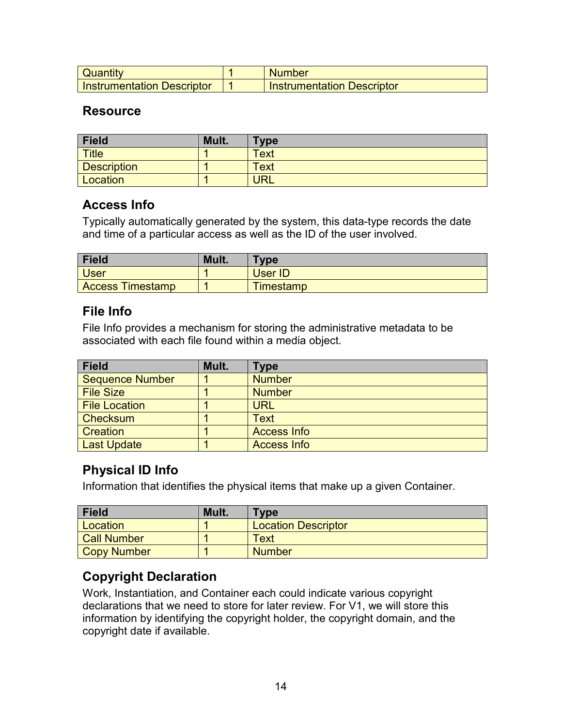| Quantity                   | <b>Number</b>                     |
|----------------------------|-----------------------------------|
| Instrumentation Descriptor | <b>Instrumentation Descriptor</b> |

#### **Resource**

| <b>Field</b>       | Mult. | $T$ <sub>Vpe</sub> |
|--------------------|-------|--------------------|
| <b>Title</b>       |       | <b>Text</b>        |
| <b>Description</b> |       | <b>Text</b>        |
| Location           |       | URL                |

#### **Access Info**

Typically automatically generated by the system, this data-type records the date and time of a particular access as well as the ID of the user involved.

| Field                   | Mult. | <b>Type</b>      |
|-------------------------|-------|------------------|
| <b>User</b>             |       | <b>User ID</b>   |
| <b>Access Timestamp</b> |       | <b>Timestamp</b> |

#### **File Info**

File Info provides a mechanism for storing the administrative metadata to be associated with each file found within a media object.

| <b>Field</b>         | Mult. | Type               |
|----------------------|-------|--------------------|
| Sequence Number      |       | <b>Number</b>      |
| <b>File Size</b>     |       | <b>Number</b>      |
| <b>File Location</b> |       | <b>URL</b>         |
| Checksum             |       | Text               |
| Creation             |       | <b>Access Info</b> |
| <b>Last Update</b>   |       | <b>Access Info</b> |

### **Physical ID Info**

Information that identifies the physical items that make up a given Container.

| <b>Field</b>       | Mult. | Type                       |
|--------------------|-------|----------------------------|
| Location           |       | <b>Location Descriptor</b> |
| <b>Call Number</b> |       | <b>Text</b>                |
| Copy Number        |       | <b>Number</b>              |

## **Copyright Declaration**

Work, Instantiation, and Container each could indicate various copyright declarations that we need to store for later review. For V1, we will store this information by identifying the copyright holder, the copyright domain, and the copyright date if available.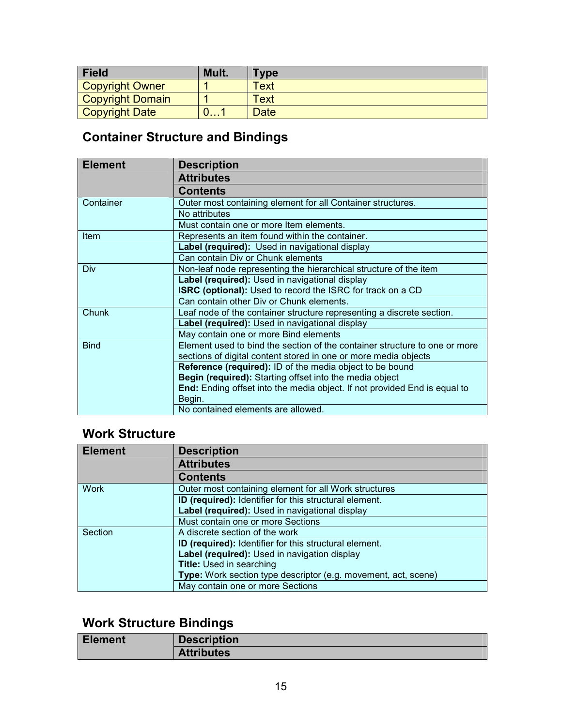| <b>Field</b>            | Mult. | $T$ <sub>VDe</sub> |
|-------------------------|-------|--------------------|
| <b>Copyright Owner</b>  |       | Text               |
| <b>Copyright Domain</b> |       | Text               |
| <b>Copyright Date</b>   |       | <b>Date</b>        |

# **Container Structure and Bindings**

| <b>Element</b> | Description                                                                      |
|----------------|----------------------------------------------------------------------------------|
|                | <b>Attributes</b>                                                                |
|                | <b>Contents</b>                                                                  |
| Container      | Outer most containing element for all Container structures.                      |
|                | No attributes                                                                    |
|                | Must contain one or more Item elements.                                          |
| <b>Item</b>    | Represents an item found within the container.                                   |
|                | Label (required): Used in navigational display                                   |
|                | Can contain Div or Chunk elements                                                |
| Div            | Non-leaf node representing the hierarchical structure of the item                |
|                | Label (required): Used in navigational display                                   |
|                | <b>ISRC (optional):</b> Used to record the ISRC for track on a CD                |
|                | Can contain other Div or Chunk elements.                                         |
| Chunk          | Leaf node of the container structure representing a discrete section.            |
|                | Label (required): Used in navigational display                                   |
|                | May contain one or more Bind elements                                            |
| <b>Bind</b>    | Element used to bind the section of the container structure to one or more       |
|                | sections of digital content stored in one or more media objects                  |
|                | <b>Reference (required):</b> ID of the media object to be bound                  |
|                | Begin (required): Starting offset into the media object                          |
|                | <b>End:</b> Ending offset into the media object. If not provided End is equal to |
|                | Begin.                                                                           |
|                | No contained elements are allowed.                                               |

## **Work Structure**

| <b>Element</b> | <b>Description</b>                                             |  |  |
|----------------|----------------------------------------------------------------|--|--|
|                | <b>Attributes</b>                                              |  |  |
|                | <b>Contents</b>                                                |  |  |
| <b>Work</b>    | Outer most containing element for all Work structures          |  |  |
|                | ID (required): Identifier for this structural element.         |  |  |
|                | Label (required): Used in navigational display                 |  |  |
|                | Must contain one or more Sections                              |  |  |
| Section        | A discrete section of the work                                 |  |  |
|                | ID (required): Identifier for this structural element.         |  |  |
|                | Label (required): Used in navigation display                   |  |  |
|                | <b>Title: Used in searching</b>                                |  |  |
|                | Type: Work section type descriptor (e.g. movement, act, scene) |  |  |
|                | May contain one or more Sections                               |  |  |

## **Work Structure Bindings**

| <b>Element</b> | <b>Description</b> |
|----------------|--------------------|
|                | <b>Attributes</b>  |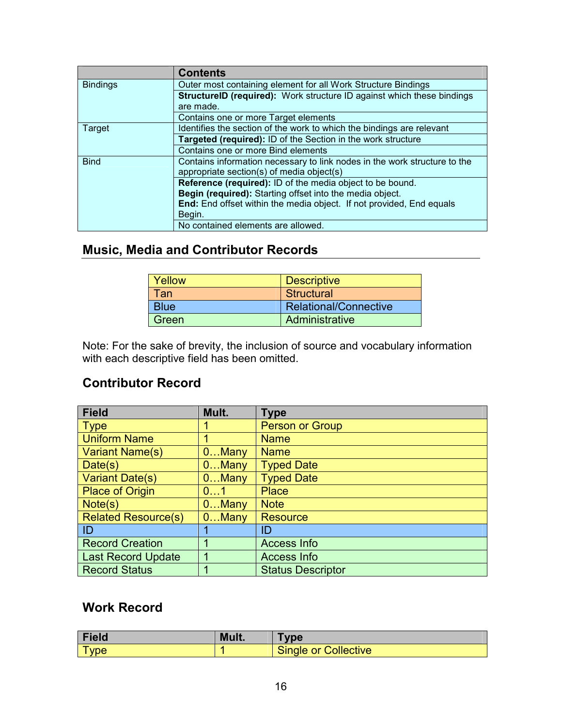|                 | <b>Contents</b>                                                               |
|-----------------|-------------------------------------------------------------------------------|
| <b>Bindings</b> | Outer most containing element for all Work Structure Bindings                 |
|                 | <b>StructureID (required):</b> Work structure ID against which these bindings |
|                 | are made.                                                                     |
|                 | Contains one or more Target elements                                          |
| Target          | Identifies the section of the work to which the bindings are relevant         |
|                 | Targeted (required): ID of the Section in the work structure                  |
|                 | Contains one or more Bind elements                                            |
| <b>Bind</b>     | Contains information necessary to link nodes in the work structure to the     |
|                 | appropriate section(s) of media object(s)                                     |
|                 | Reference (required): ID of the media object to be bound.                     |
|                 | Begin (required): Starting offset into the media object.                      |
|                 | End: End offset within the media object. If not provided, End equals          |
|                 | Begin.                                                                        |
|                 | No contained elements are allowed.                                            |

## **Music, Media and Contributor Records**

| Yellow      | <b>Descriptive</b>    |
|-------------|-----------------------|
| Tan         | Structural            |
| <b>Blue</b> | Relational/Connective |
| Green       | Administrative        |

Note: For the sake of brevity, the inclusion of source and vocabulary information with each descriptive field has been omitted.

### **Contributor Record**

| Field                         | Mult.    | <b>Type</b>              |
|-------------------------------|----------|--------------------------|
| $\overline{\phantom{a}}$ Type |          | Person or Group          |
| <b>Uniform Name</b>           |          | <b>Name</b>              |
| Variant Name(s)               | $0$ Many | <b>Name</b>              |
| Date(s)                       | $0$ Many | <b>Typed Date</b>        |
| <b>Variant Date(s)</b>        | $0$ Many | <b>Typed Date</b>        |
| <b>Place of Origin</b>        | 01       | <b>Place</b>             |
| Note(s)                       | $0$ Many | <b>Note</b>              |
| <b>Related Resource(s)</b>    | $0$ Many | <b>Resource</b>          |
| $ $ ID                        |          | ID                       |
| <b>Record Creation</b>        |          | <b>Access Info</b>       |
| <b>Last Record Update</b>     |          | <b>Access Info</b>       |
| <b>Record Status</b>          |          | <b>Status Descriptor</b> |

## **Work Record**

| Field           | Mult. | vpe                  |
|-----------------|-------|----------------------|
| -<br><b>vpe</b> |       | Single or Collective |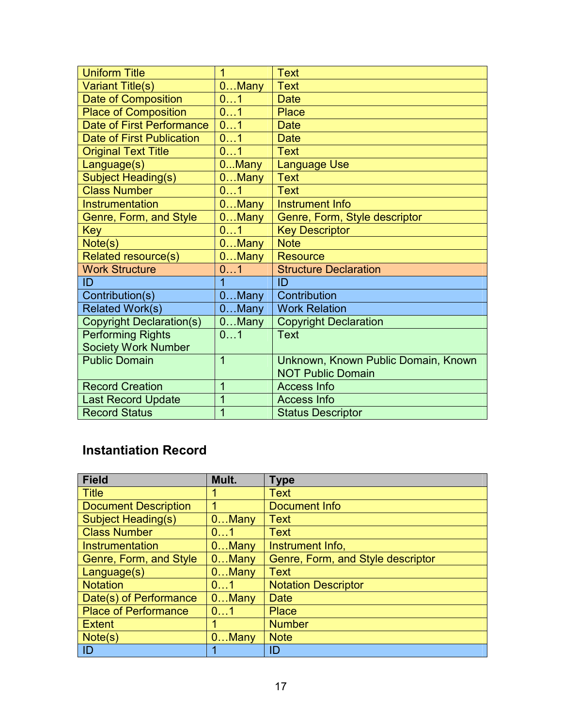| <b>Uniform Title</b>             | 1              | <b>Text</b>                         |
|----------------------------------|----------------|-------------------------------------|
| <b>Variant Title(s)</b>          | $0$ Many       | <b>Text</b>                         |
| Date of Composition              | 01             | <b>Date</b>                         |
| <b>Place of Composition</b>      | 01             | <b>Place</b>                        |
| <b>Date of First Performance</b> | 01             | <b>Date</b>                         |
| <b>Date of First Publication</b> | 01             | <b>Date</b>                         |
| <b>Original Text Title</b>       | 01             | <b>Text</b>                         |
| Language(s)                      | 0Many          | <b>Language Use</b>                 |
| <b>Subject Heading(s)</b>        | 0Many          | <b>Text</b>                         |
| <b>Class Number</b>              | 01             | <b>Text</b>                         |
| Instrumentation                  | 0Many          | Instrument Info                     |
| Genre, Form, and Style           | $0$ Many       | Genre, Form, Style descriptor       |
| <b>Key</b>                       | 01             | <b>Key Descriptor</b>               |
| Note(s)                          | $0$ Many       | <b>Note</b>                         |
| <b>Related resource(s)</b>       | $0$ Many       | <b>Resource</b>                     |
| <b>Work Structure</b>            | 01             | <b>Structure Declaration</b>        |
| ID                               | 1              | ID                                  |
| Contribution(s)                  | $0$ Many       | Contribution                        |
| <b>Related Work(s)</b>           | $0$ Many       | <b>Work Relation</b>                |
| <b>Copyright Declaration(s)</b>  | $0$ Many       | <b>Copyright Declaration</b>        |
| <b>Performing Rights</b>         | 01             | <b>Text</b>                         |
| <b>Society Work Number</b>       |                |                                     |
| <b>Public Domain</b>             | $\overline{1}$ | Unknown, Known Public Domain, Known |
|                                  |                | <b>NOT Public Domain</b>            |
| <b>Record Creation</b>           | 1              | <b>Access Info</b>                  |
| <b>Last Record Update</b>        | 1              | <b>Access Info</b>                  |
| <b>Record Status</b>             | 1              | <b>Status Descriptor</b>            |

# **Instantiation Record**

| <b>Field</b>                | Mult.    | <b>Type</b>                       |
|-----------------------------|----------|-----------------------------------|
| <b>Title</b>                |          | <b>Text</b>                       |
| <b>Document Description</b> |          | Document Info                     |
| <b>Subject Heading(s)</b>   | $0$ Many | <b>Text</b>                       |
| <b>Class Number</b>         | 01       | <b>Text</b>                       |
| Instrumentation             | $0$ Many | Instrument Info,                  |
| Genre, Form, and Style      | $0$ Many | Genre, Form, and Style descriptor |
| Language(s)                 | $0$ Many | <b>Text</b>                       |
| <b>Notation</b>             | 01       | <b>Notation Descriptor</b>        |
| Date(s) of Performance      | $0$ Many | <b>Date</b>                       |
| <b>Place of Performance</b> | 01       | <b>Place</b>                      |
| <b>Extent</b>               | 1        | <b>Number</b>                     |
| Note(s)                     | $0$ Many | <b>Note</b>                       |
| ID                          |          | ID                                |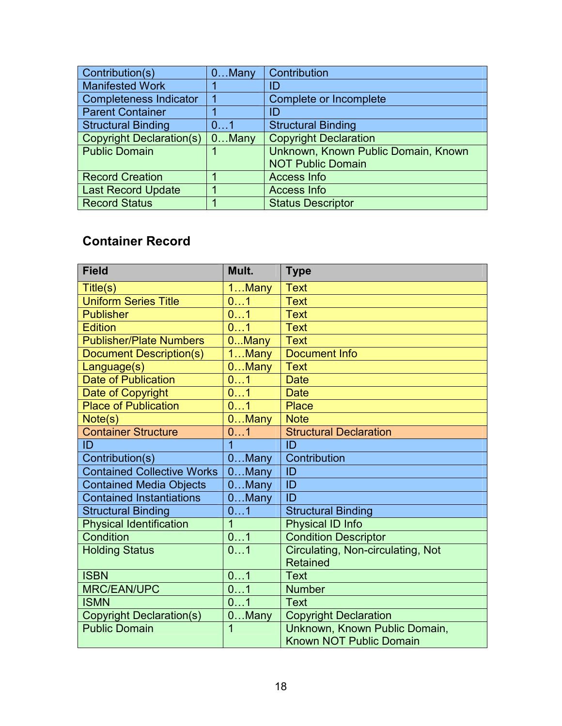| Contribution(s)                 | $0$ Many | Contribution                        |
|---------------------------------|----------|-------------------------------------|
| <b>Manifested Work</b>          |          | ID                                  |
| Completeness Indicator          |          | Complete or Incomplete              |
| <b>Parent Container</b>         |          | ID                                  |
| <b>Structural Binding</b>       | 01       | <b>Structural Binding</b>           |
| <b>Copyright Declaration(s)</b> | $0$ Many | <b>Copyright Declaration</b>        |
| <b>Public Domain</b>            |          | Unknown, Known Public Domain, Known |
|                                 |          | <b>NOT Public Domain</b>            |
| <b>Record Creation</b>          |          | <b>Access Info</b>                  |
| Last Record Update              |          | <b>Access Info</b>                  |
| <b>Record Status</b>            |          | <b>Status Descriptor</b>            |

## **Container Record**

| <b>Field</b>                      | Mult.           | <b>Type</b>                                          |
|-----------------------------------|-----------------|------------------------------------------------------|
| Title(s)                          | 1Many           | <b>Text</b>                                          |
| <b>Uniform Series Title</b>       | 01              | <b>Text</b>                                          |
| <b>Publisher</b>                  | 01              | <b>Text</b>                                          |
| <b>Edition</b>                    | 01              | <b>Text</b>                                          |
| <b>Publisher/Plate Numbers</b>    | 0Many           | <b>Text</b>                                          |
| <b>Document Description(s)</b>    | $1$ Many        | <b>Document Info</b>                                 |
| Language(s)                       | $0$ Many        | <b>Text</b>                                          |
| <b>Date of Publication</b>        | 01              | <b>Date</b>                                          |
| Date of Copyright                 | $\overline{01}$ | <b>Date</b>                                          |
| <b>Place of Publication</b>       | 01              | <b>Place</b>                                         |
| Note(s)                           | 0Many           | <b>Note</b>                                          |
| <b>Container Structure</b>        | 01              | <b>Structural Declaration</b>                        |
| ID                                | 1               | ID                                                   |
| Contribution(s)                   | $0$ Many        | Contribution                                         |
| <b>Contained Collective Works</b> | $0$ Many        | ID                                                   |
| <b>Contained Media Objects</b>    | $0$ Many        | ID                                                   |
| <b>Contained Instantiations</b>   | $0$ Many        | ID                                                   |
| <b>Structural Binding</b>         | 01              | <b>Structural Binding</b>                            |
| <b>Physical Identification</b>    | $\overline{1}$  | Physical ID Info                                     |
| Condition                         | 01              | <b>Condition Descriptor</b>                          |
| <b>Holding Status</b>             | 01              | Circulating, Non-circulating, Not<br><b>Retained</b> |
| <b>ISBN</b>                       | 01              | <b>Text</b>                                          |
| <b>MRC/EAN/UPC</b>                | 01              | <b>Number</b>                                        |
| <b>ISMN</b>                       | $\overline{01}$ | <b>Text</b>                                          |
| <b>Copyright Declaration(s)</b>   | $0$ Many        | <b>Copyright Declaration</b>                         |
| <b>Public Domain</b>              | $\overline{1}$  | Unknown, Known Public Domain,                        |
|                                   |                 | <b>Known NOT Public Domain</b>                       |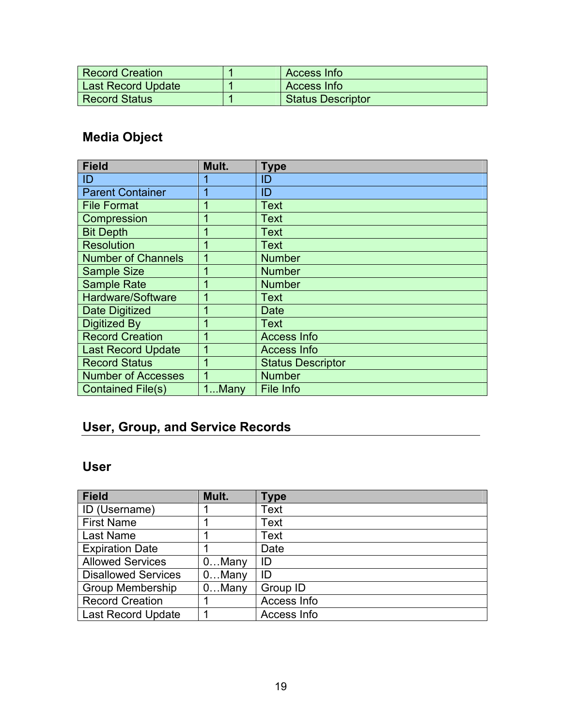| Record Creation           | Access Info              |
|---------------------------|--------------------------|
| <b>Last Record Update</b> | Access Info              |
| <b>Record Status</b>      | <b>Status Descriptor</b> |

# **Media Object**

| <b>Field</b>              | Mult. | Type                     |
|---------------------------|-------|--------------------------|
| ID                        |       | ID                       |
| <b>Parent Container</b>   |       | ID                       |
| <b>File Format</b>        |       | <b>Text</b>              |
| Compression               | 1     | <b>Text</b>              |
| <b>Bit Depth</b>          | 1     | <b>Text</b>              |
| <b>Resolution</b>         |       | <b>Text</b>              |
| <b>Number of Channels</b> |       | <b>Number</b>            |
| <b>Sample Size</b>        |       | <b>Number</b>            |
| <b>Sample Rate</b>        | 1     | <b>Number</b>            |
| Hardware/Software         |       | <b>Text</b>              |
| Date Digitized            | 1     | <b>Date</b>              |
| <b>Digitized By</b>       |       | <b>Text</b>              |
| <b>Record Creation</b>    | 1     | Access Info              |
| <b>Last Record Update</b> | 1     | <b>Access Info</b>       |
| <b>Record Status</b>      | 1     | <b>Status Descriptor</b> |
| <b>Number of Accesses</b> | 1     | <b>Number</b>            |
| <b>Contained File(s)</b>  | 1Many | File Info                |

# **User, Group, and Service Records**

## **User**

| <b>Field</b>               | Mult.    | Type        |
|----------------------------|----------|-------------|
| ID (Username)              |          | Text        |
| <b>First Name</b>          |          | Text        |
| Last Name                  |          | Text        |
| <b>Expiration Date</b>     |          | Date        |
| <b>Allowed Services</b>    | $0$ Many | ID          |
| <b>Disallowed Services</b> | $0$ Many | ID          |
| <b>Group Membership</b>    | $0$ Many | Group ID    |
| <b>Record Creation</b>     |          | Access Info |
| <b>Last Record Update</b>  |          | Access Info |